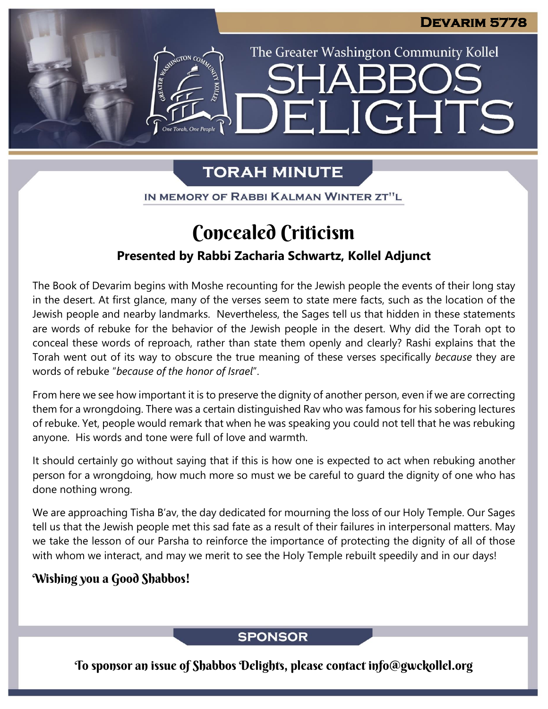The Greater Washington Community Kollel

LIGHTS

# **TORAH MINUTE**

EI

IN MEMORY OF RABBI KALMAN WINTER ZT"L

# Concealed Criticism

### **Presented by Rabbi Zacharia Schwartz, Kollel Adjunct**

The Book of Devarim begins with Moshe recounting for the Jewish people the events of their long stay in the desert. At first glance, many of the verses seem to state mere facts, such as the location of the Jewish people and nearby landmarks. Nevertheless, the Sages tell us that hidden in these statements are words of rebuke for the behavior of the Jewish people in the desert. Why did the Torah opt to conceal these words of reproach, rather than state them openly and clearly? Rashi explains that the Torah went out of its way to obscure the true meaning of these verses specifically *because* they are words of rebuke "*because of the honor of Israel*".

From here we see how important it is to preserve the dignity of another person, even if we are correcting them for a wrongdoing. There was a certain distinguished Rav who was famous for his sobering lectures of rebuke. Yet, people would remark that when he was speaking you could not tell that he was rebuking anyone. His words and tone were full of love and warmth.

It should certainly go without saying that if this is how one is expected to act when rebuking another person for a wrongdoing, how much more so must we be careful to guard the dignity of one who has done nothing wrong.

We are approaching Tisha B'av, the day dedicated for mourning the loss of our Holy Temple. Our Sages tell us that the Jewish people met this sad fate as a result of their failures in interpersonal matters. May we take the lesson of our Parsha to reinforce the importance of protecting the dignity of all of those with whom we interact, and may we merit to see the Holy Temple rebuilt speedily and in our days!

### Wishing you a Good Shabbos!

### **SPONSOR**

To sponsor an issue of Shabbos Delights, please contact info@gwckollel.org